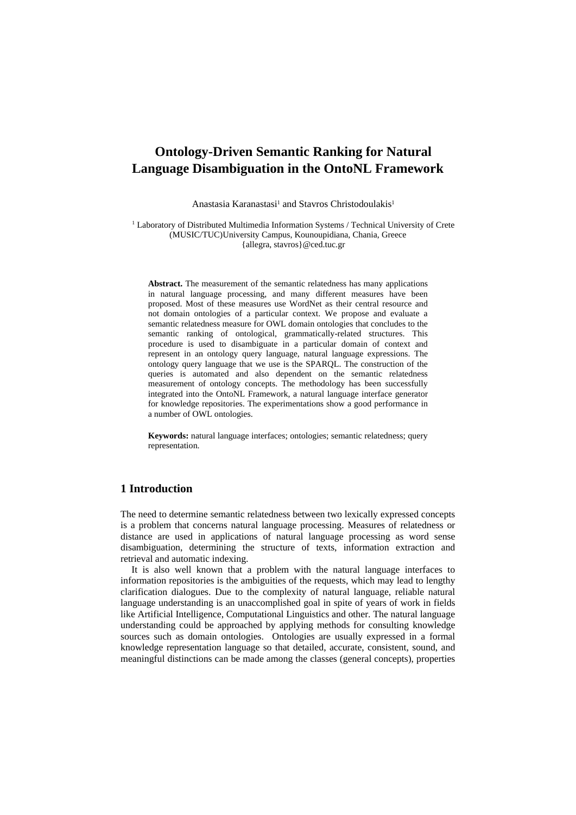# **Ontology-Driven Semantic Ranking for Natural Language Disambiguation in the OntoNL Framework**

Anastasia Karanastasi<sup>1</sup> and Stavros Christodoulakis<sup>1</sup>

<sup>1</sup> Laboratory of Distributed Multimedia Information Systems / Technical University of Crete (MUSIC/TUC)University Campus, Kounoupidiana, Chania, Greece {allegra, stavros}@ced.tuc.gr

**Abstract.** The measurement of the semantic relatedness has many applications in natural language processing, and many different measures have been proposed. Most of these measures use WordNet as their central resource and not domain ontologies of a particular context. We propose and evaluate a semantic relatedness measure for OWL domain ontologies that concludes to the semantic ranking of ontological, grammatically-related structures. This procedure is used to disambiguate in a particular domain of context and represent in an ontology query language, natural language expressions. The ontology query language that we use is the SPARQL. The construction of the queries is automated and also dependent on the semantic relatedness measurement of ontology concepts. The methodology has been successfully integrated into the OntoNL Framework, a natural language interface generator for knowledge repositories. The experimentations show a good performance in a number of OWL ontologies.

**Keywords:** natural language interfaces; ontologies; semantic relatedness; query representation.

## **1 Introduction**

The need to determine semantic relatedness between two lexically expressed concepts is a problem that concerns natural language processing. Measures of relatedness or distance are used in applications of natural language processing as word sense disambiguation, determining the structure of texts, information extraction and retrieval and automatic indexing.

It is also well known that a problem with the natural language interfaces to information repositories is the ambiguities of the requests, which may lead to lengthy clarification dialogues. Due to the complexity of natural language, reliable natural language understanding is an unaccomplished goal in spite of years of work in fields like Artificial Intelligence, Computational Linguistics and other. The natural language understanding could be approached by applying methods for consulting knowledge sources such as domain ontologies. Ontologies are usually expressed in a formal knowledge representation language so that detailed, accurate, consistent, sound, and meaningful distinctions can be made among the classes (general concepts), properties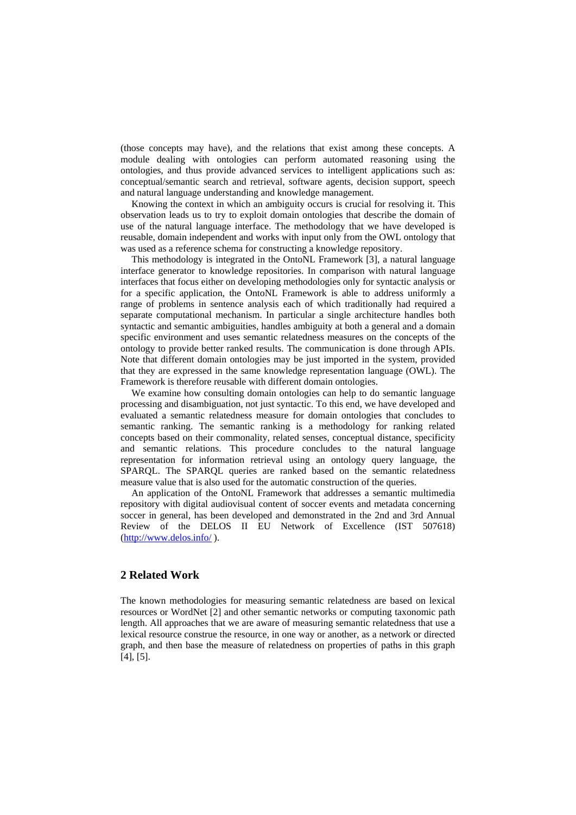(those concepts may have), and the relations that exist among these concepts. A module dealing with ontologies can perform automated reasoning using the ontologies, and thus provide advanced services to intelligent applications such as: conceptual/semantic search and retrieval, software agents, decision support, speech and natural language understanding and knowledge management.

Knowing the context in which an ambiguity occurs is crucial for resolving it. This observation leads us to try to exploit domain ontologies that describe the domain of use of the natural language interface. The methodology that we have developed is reusable, domain independent and works with input only from the OWL ontology that was used as a reference schema for constructing a knowledge repository.

This methodology is integrated in the OntoNL Framework [[3\]](#page-14-0), a natural language interface generator to knowledge repositories. In comparison with natural language interfaces that focus either on developing methodologies only for syntactic analysis or for a specific application, the OntoNL Framework is able to address uniformly a range of problems in sentence analysis each of which traditionally had required a separate computational mechanism. In particular a single architecture handles both syntactic and semantic ambiguities, handles ambiguity at both a general and a domain specific environment and uses semantic relatedness measures on the concepts of the ontology to provide better ranked results. The communication is done through APIs. Note that different domain ontologies may be just imported in the system, provided that they are expressed in the same knowledge representation language (OWL). The Framework is therefore reusable with different domain ontologies.

We examine how consulting domain ontologies can help to do semantic language processing and disambiguation, not just syntactic. To this end, we have developed and evaluated a semantic relatedness measure for domain ontologies that concludes to semantic ranking. The semantic ranking is a methodology for ranking related concepts based on their commonality, related senses, conceptual distance, specificity and semantic relations. This procedure concludes to the natural language representation for information retrieval using an ontology query language, the SPARQL. The SPARQL queries are ranked based on the semantic relatedness measure value that is also used for the automatic construction of the queries.

An application of the OntoNL Framework that addresses a semantic multimedia repository with digital audiovisual content of soccer events and metadata concerning soccer in general, has been developed and demonstrated in the 2nd and 3rd Annual Review of the DELOS II EU Network of Excellence (IST 507618) [\(http://www.delos.info/](http://www.delos.info/) ).

# **2 Related Work**

The known methodologies for measuring semantic relatedness are based on lexical resources or WordNet [\[2](#page-14-1)] and other semantic networks or computing taxonomic path length. All approaches that we are aware of measuring semantic relatedness that use a lexical resource construe the resource, in one way or another, as a network or directed graph, and then base the measure of relatedness on properties of paths in this graph [\[4](#page-14-2)], [[5\]](#page-14-3).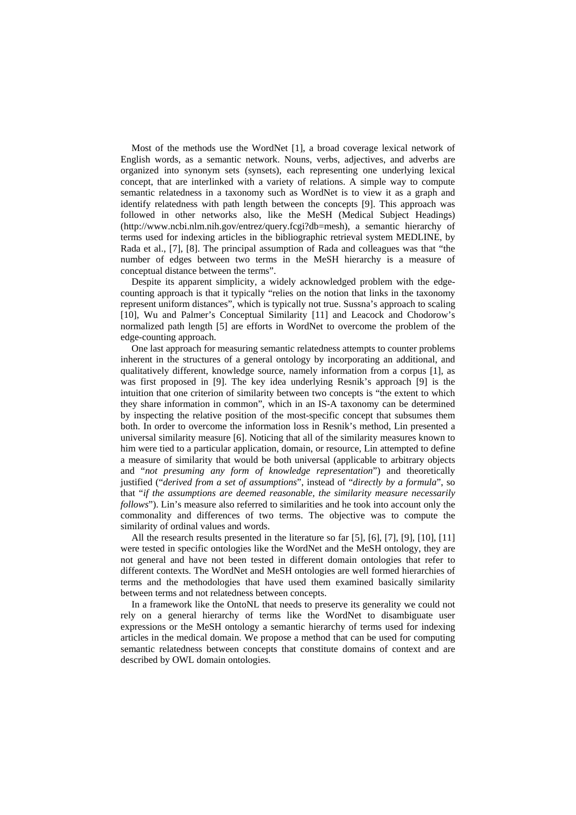Most of the methods use the WordNet [[1\]](#page-14-4), a broad coverage lexical network of English words, as a semantic network. Nouns, verbs, adjectives, and adverbs are organized into synonym sets (synsets), each representing one underlying lexical concept, that are interlinked with a variety of relations. A simple way to compute semantic relatedness in a taxonomy such as WordNet is to view it as a graph and identify relatedness with path length between the concepts [\[9](#page-14-5)]. This approach was followed in other networks also, like the MeSH (Medical Subject Headings) [\(http://www.ncbi.nlm.nih.gov/entrez/query.fcgi?db=mesh](http://www.ncbi.nlm.nih.gov/entrez/query.fcgi?db=mesh)), a semantic hierarchy of terms used for indexing articles in the bibliographic retrieval system MEDLINE, by Rada et al., [\[7](#page-14-6)], [[8\]](#page-14-7). The principal assumption of Rada and colleagues was that "the number of edges between two terms in the MeSH hierarchy is a measure of conceptual distance between the terms".

Despite its apparent simplicity, a widely acknowledged problem with the edgecounting approach is that it typically "relies on the notion that links in the taxonomy represent uniform distances", which is typically not true. Sussna's approach to scaling [\[10](#page-14-8)], Wu and Palmer's Conceptual Similarity [[11\]](#page-14-9) and Leacock and Chodorow's normalized path length [[5\]](#page-14-3) are efforts in WordNet to overcome the problem of the edge-counting approach.

One last approach for measuring semantic relatedness attempts to counter problems inherent in the structures of a general ontology by incorporating an additional, and qualitatively different, knowledge source, namely information from a corpus [[1\]](#page-14-4), as was first proposed in [[9\]](#page-14-5). The key idea underlying Resnik's approach [[9\]](#page-14-5) is the intuition that one criterion of similarity between two concepts is "the extent to which they share information in common", which in an IS-A taxonomy can be determined by inspecting the relative position of the most-specific concept that subsumes them both. In order to overcome the information loss in Resnik's method, Lin presented a universal similarity measure [\[6](#page-14-10)]. Noticing that all of the similarity measures known to him were tied to a particular application, domain, or resource, Lin attempted to define a measure of similarity that would be both universal (applicable to arbitrary objects and "*not presuming any form of knowledge representation*") and theoretically justified ("*derived from a set of assumptions*", instead of "*directly by a formula*", so that "*if the assumptions are deemed reasonable, the similarity measure necessarily follows*"). Lin's measure also referred to similarities and he took into account only the commonality and differences of two terms. The objective was to compute the similarity of ordinal values and words.

All the research results presented in the literature so far [[5](#page-14-3)], [\[6](#page-14-10)], [\[7](#page-14-6)], [\[9](#page-14-5)], [\[10](#page-14-8)], [\[11](#page-14-9)] were tested in specific ontologies like the WordNet and the MeSH ontology, they are not general and have not been tested in different domain ontologies that refer to different contexts. The WordNet and MeSH ontologies are well formed hierarchies of terms and the methodologies that have used them examined basically similarity between terms and not relatedness between concepts.

In a framework like the OntoNL that needs to preserve its generality we could not rely on a general hierarchy of terms like the WordNet to disambiguate user expressions or the MeSH ontology a semantic hierarchy of terms used for indexing articles in the medical domain. We propose a method that can be used for computing semantic relatedness between concepts that constitute domains of context and are described by OWL domain ontologies.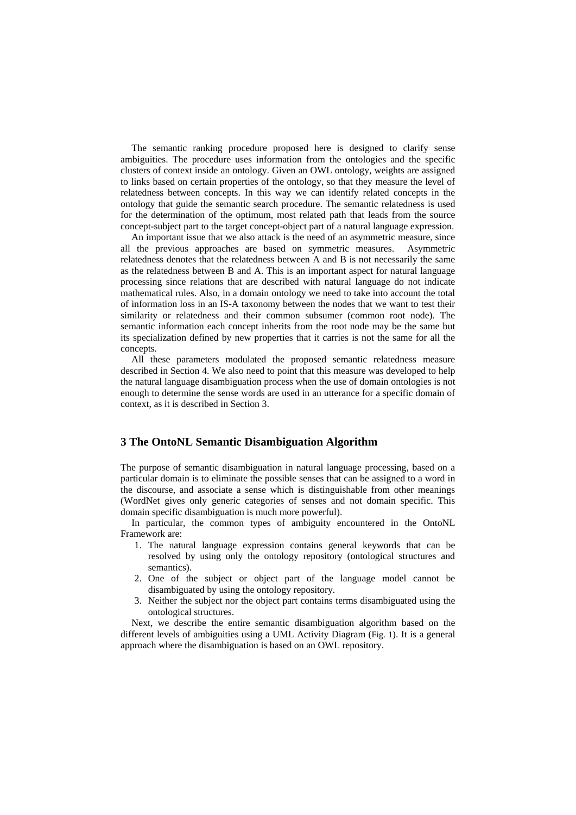The semantic ranking procedure proposed here is designed to clarify sense ambiguities. The procedure uses information from the ontologies and the specific clusters of context inside an ontology. Given an OWL ontology, weights are assigned to links based on certain properties of the ontology, so that they measure the level of relatedness between concepts. In this way we can identify related concepts in the ontology that guide the semantic search procedure. The semantic relatedness is used for the determination of the optimum, most related path that leads from the source concept-subject part to the target concept-object part of a natural language expression.

An important issue that we also attack is the need of an asymmetric measure, since all the previous approaches are based on symmetric measures. Asymmetric relatedness denotes that the relatedness between A and B is not necessarily the same as the relatedness between B and A. This is an important aspect for natural language processing since relations that are described with natural language do not indicate mathematical rules. Also, in a domain ontology we need to take into account the total of information loss in an IS-A taxonomy between the nodes that we want to test their similarity or relatedness and their common subsumer (common root node). The semantic information each concept inherits from the root node may be the same but its specialization defined by new properties that it carries is not the same for all the concepts.

All these parameters modulated the proposed semantic relatedness measure described in Section 4. We also need to point that this measure was developed to help the natural language disambiguation process when the use of domain ontologies is not enough to determine the sense words are used in an utterance for a specific domain of context, as it is described in Section 3.

## **3 The OntoNL Semantic Disambiguation Algorithm**

The purpose of semantic disambiguation in natural language processing, based on a particular domain is to eliminate the possible senses that can be assigned to a word in the discourse, and associate a sense which is distinguishable from other meanings (WordNet gives only generic categories of senses and not domain specific. This domain specific disambiguation is much more powerful).

In particular, the common types of ambiguity encountered in the OntoNL Framework are:

- 1. The natural language expression contains general keywords that can be resolved by using only the ontology repository (ontological structures and semantics).
- 2. One of the subject or object part of the language model cannot be disambiguated by using the ontology repository.
- 3. Neither the subject nor the object part contains terms disambiguated using the ontological structures.

Next, we describe the entire semantic disambiguation algorithm based on the different levels of ambiguities using a UML Activity Diagram [\(Fig. 1\)](#page-4-0). It is a general approach where the disambiguation is based on an OWL repository.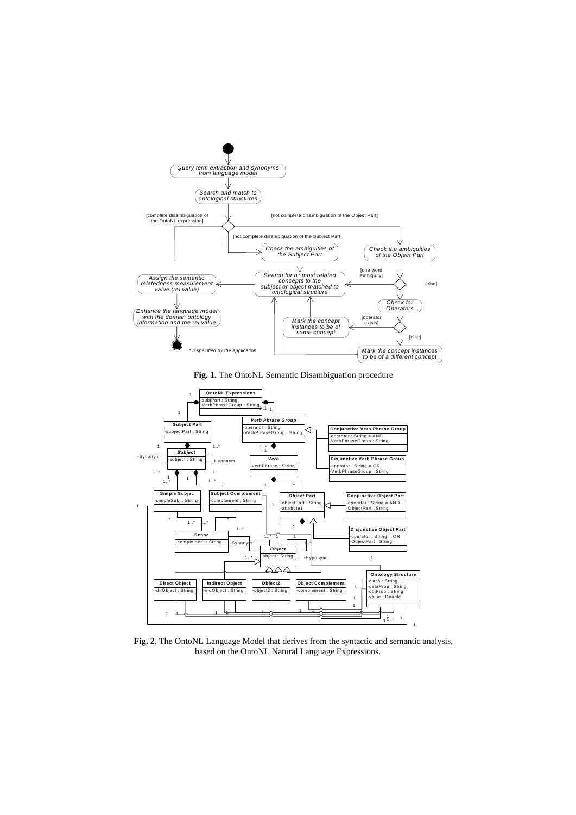

**Fig. 1.** The OntoNL Semantic Disambiguation procedure

<span id="page-4-0"></span>

<span id="page-4-1"></span>**Fig. 2**. The OntoNL Language Model that derives from the syntactic and semantic analysis, based on the OntoNL Natural Language Expressions.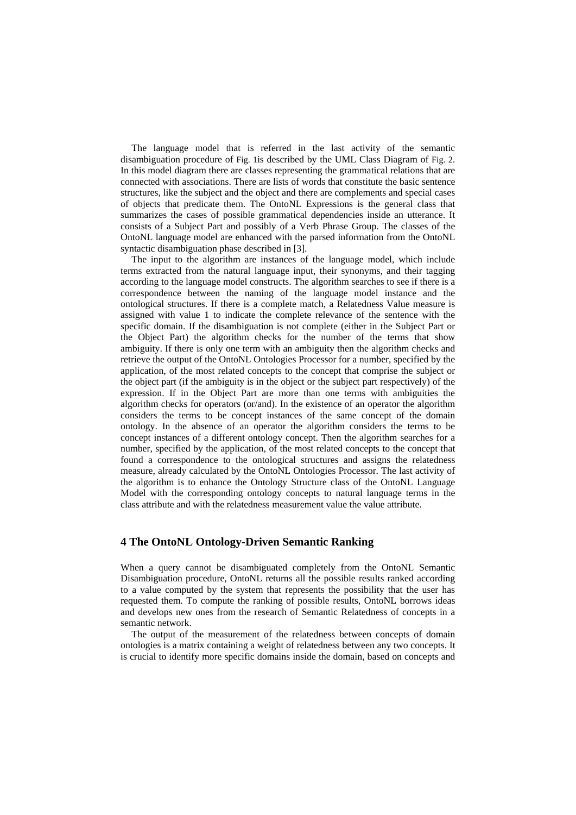The language model that is referred in the last activity of the semantic disambiguation procedure of [Fig. 1](#page-4-0)is described by the UML Class Diagram of [Fig. 2](#page-4-1). In this model diagram there are classes representing the grammatical relations that are connected with associations. There are lists of words that constitute the basic sentence structures, like the subject and the object and there are complements and special cases of objects that predicate them. The OntoNL Expressions is the general class that summarizes the cases of possible grammatical dependencies inside an utterance. It consists of a Subject Part and possibly of a Verb Phrase Group. The classes of the OntoNL language model are enhanced with the parsed information from the OntoNL syntactic disambiguation phase described in [[3\]](#page-14-0).

The input to the algorithm are instances of the language model, which include terms extracted from the natural language input, their synonyms, and their tagging according to the language model constructs. The algorithm searches to see if there is a correspondence between the naming of the language model instance and the ontological structures. If there is a complete match, a Relatedness Value measure is assigned with value 1 to indicate the complete relevance of the sentence with the specific domain. If the disambiguation is not complete (either in the Subject Part or the Object Part) the algorithm checks for the number of the terms that show ambiguity. If there is only one term with an ambiguity then the algorithm checks and retrieve the output of the OntoNL Ontologies Processor for a number, specified by the application, of the most related concepts to the concept that comprise the subject or the object part (if the ambiguity is in the object or the subject part respectively) of the expression. If in the Object Part are more than one terms with ambiguities the algorithm checks for operators (or/and). In the existence of an operator the algorithm considers the terms to be concept instances of the same concept of the domain ontology. In the absence of an operator the algorithm considers the terms to be concept instances of a different ontology concept. Then the algorithm searches for a number, specified by the application, of the most related concepts to the concept that found a correspondence to the ontological structures and assigns the relatedness measure, already calculated by the OntoNL Ontologies Processor. The last activity of the algorithm is to enhance the Ontology Structure class of the OntoNL Language Model with the corresponding ontology concepts to natural language terms in the class attribute and with the relatedness measurement value the value attribute.

### **4 The OntoNL Ontology-Driven Semantic Ranking**

When a query cannot be disambiguated completely from the OntoNL Semantic Disambiguation procedure, OntoNL returns all the possible results ranked according to a value computed by the system that represents the possibility that the user has requested them. To compute the ranking of possible results, OntoNL borrows ideas and develops new ones from the research of Semantic Relatedness of concepts in a semantic network.

The output of the measurement of the relatedness between concepts of domain ontologies is a matrix containing a weight of relatedness between any two concepts. It is crucial to identify more specific domains inside the domain, based on concepts and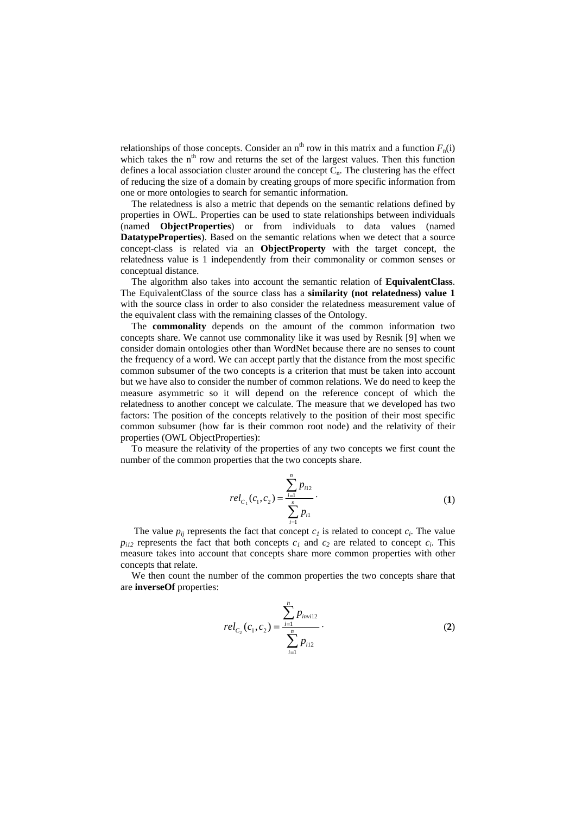relationships of those concepts. Consider an  $n^{th}$  row in this matrix and a function  $F_n(i)$ which takes the  $n<sup>th</sup>$  row and returns the set of the largest values. Then this function defines a local association cluster around the concept  $C<sub>n</sub>$ . The clustering has the effect of reducing the size of a domain by creating groups of more specific information from one or more ontologies to search for semantic information.

The relatedness is also a metric that depends on the semantic relations defined by properties in OWL. Properties can be used to state relationships between individuals (named **ObjectProperties**) or from individuals to data values (named **DatatypeProperties**). Based on the semantic relations when we detect that a source concept-class is related via an **ObjectProperty** with the target concept, the relatedness value is 1 independently from their commonality or common senses or conceptual distance.

The algorithm also takes into account the semantic relation of **EquivalentClass**. The EquivalentClass of the source class has a **similarity (not relatedness) value 1**  with the source class in order to also consider the relatedness measurement value of the equivalent class with the remaining classes of the Ontology.

The **commonality** depends on the amount of the common information two concepts share. We cannot use commonality like it was used by Resnik [[9\]](#page-14-5) when we consider domain ontologies other than WordNet because there are no senses to count the frequency of a word. We can accept partly that the distance from the most specific common subsumer of the two concepts is a criterion that must be taken into account but we have also to consider the number of common relations. We do need to keep the measure asymmetric so it will depend on the reference concept of which the relatedness to another concept we calculate. The measure that we developed has two factors: The position of the concepts relatively to the position of their most specific common subsumer (how far is their common root node) and the relativity of their properties (OWL ObjectProperties):

To measure the relativity of the properties of any two concepts we first count the number of the common properties that the two concepts share.

$$
rel_{C_1}(c_1, c_2) = \frac{\sum_{i=1}^{n} p_{i12}}{\sum_{i=1}^{n} p_{i1}}.
$$
 (1)

The value  $p_{ij}$  represents the fact that concept  $c_l$  is related to concept  $c_i$ . The value  $p_{i12}$  represents the fact that both concepts  $c_1$  and  $c_2$  are related to concept  $c_i$ . This measure takes into account that concepts share more common properties with other concepts that relate.

We then count the number of the common properties the two concepts share that are **inverseOf** properties:

$$
rel_{C_2}(c_1, c_2) = \frac{\sum_{i=1}^{n} p_{inv12}}{\sum_{i=1}^{n} p_{i12}}.
$$
 (2)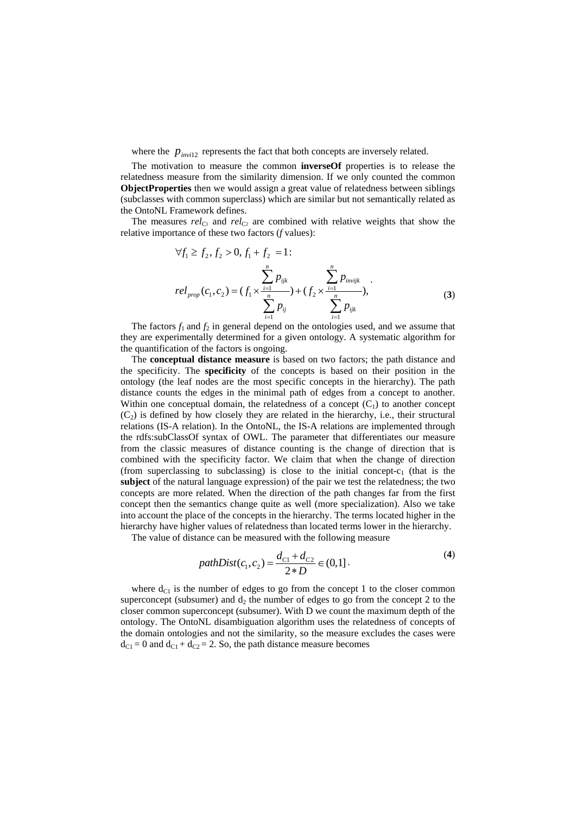where the  $p_{\text{invil2}}$  represents the fact that both concepts are inversely related.

The motivation to measure the common **inverseOf** properties is to release the relatedness measure from the similarity dimension. If we only counted the common **ObjectProperties** then we would assign a great value of relatedness between siblings (subclasses with common superclass) which are similar but not semantically related as the OntoNL Framework defines.

The measures  $rel_{C_1}$  and  $rel_{C_2}$  are combined with relative weights that show the relative importance of these two factors (*f* values):

$$
\forall f_1 \ge f_2, f_2 > 0, f_1 + f_2 = 1:
$$
  
\n
$$
rel_{prop}(c_1, c_2) = (f_1 \times \frac{\sum_{i=1}^{n} p_{ijk}}{\sum_{i=1}^{n} p_{ij}}) + (f_2 \times \frac{\sum_{i=1}^{n} p_{invijk}}{\sum_{i=1}^{n} p_{ijk}}),
$$
\n(3)

The factors  $f_1$  and  $f_2$  in general depend on the ontologies used, and we assume that they are experimentally determined for a given ontology. A systematic algorithm for the quantification of the factors is ongoing.

The **conceptual distance measure** is based on two factors; the path distance and the specificity. The **specificity** of the concepts is based on their position in the ontology (the leaf nodes are the most specific concepts in the hierarchy). The path distance counts the edges in the minimal path of edges from a concept to another. Within one conceptual domain, the relatedness of a concept  $(C_1)$  to another concept  $(C<sub>2</sub>)$  is defined by how closely they are related in the hierarchy, i.e., their structural relations (IS-A relation). In the OntoNL, the IS-A relations are implemented through the rdfs:subClassOf syntax of OWL. The parameter that differentiates our measure from the classic measures of distance counting is the change of direction that is combined with the specificity factor. We claim that when the change of direction (from superclassing to subclassing) is close to the initial concept- $c_1$  (that is the **subject** of the natural language expression) of the pair we test the relatedness; the two concepts are more related. When the direction of the path changes far from the first concept then the semantics change quite as well (more specialization). Also we take into account the place of the concepts in the hierarchy. The terms located higher in the hierarchy have higher values of relatedness than located terms lower in the hierarchy.

The value of distance can be measured with the following measure

$$
pathDist(c_1, c_2) = \frac{d_{C1} + d_{C2}}{2*D} \in (0,1].
$$
\n(4)

where  $d_{C_1}$  is the number of edges to go from the concept 1 to the closer common superconcept (subsumer) and  $d_2$  the number of edges to go from the concept 2 to the closer common superconcept (subsumer). With D we count the maximum depth of the ontology. The OntoNL disambiguation algorithm uses the relatedness of concepts of the domain ontologies and not the similarity, so the measure excludes the cases were  $d_{C1} = 0$  and  $d_{C1} + d_{C2} = 2$ . So, the path distance measure becomes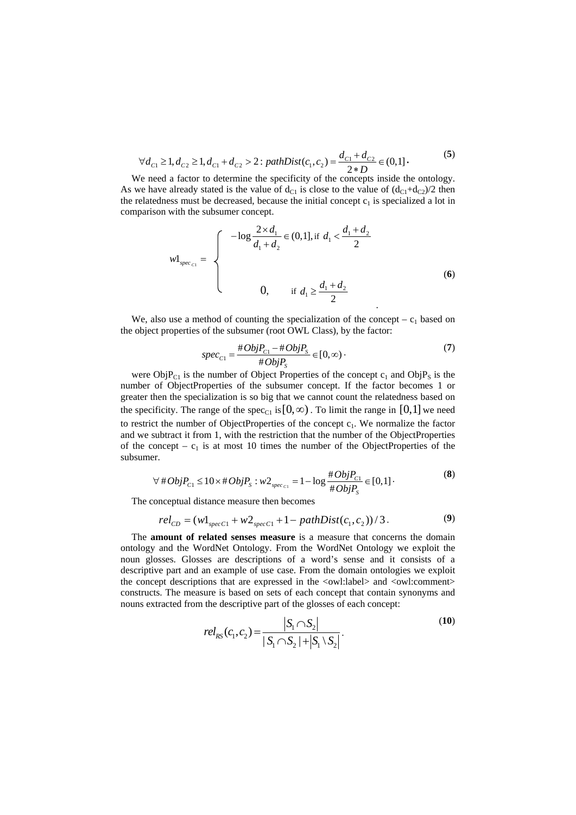$$
\forall d_{C1} \ge 1, d_{C2} \ge 1, d_{C1} + d_{C2} > 2 : pathDist(c_1, c_2) = \frac{d_{C1} + d_{C2}}{2*D} \in (0,1].
$$
 (5)

We need a factor to determine the specificity of the concepts inside the ontology. As we have already stated is the value of  $d_{C1}$  is close to the value of  $(d_{C1}+d_{C2})/2$  then the relatedness must be decreased, because the initial concept  $c_1$  is specialized a lot in comparison with the subsumer concept.

$$
w1_{spec_{ci}} = \begin{cases}\n-\log \frac{2 \times d_1}{d_1 + d_2} \in (0,1], \text{ if } d_1 < \frac{d_1 + d_2}{2} \\
0, & \text{ if } d_1 \ge \frac{d_1 + d_2}{2}\n\end{cases}
$$
\n(6)

We, also use a method of counting the specialization of the concept –  $c_1$  based on the object properties of the subsumer (root OWL Class), by the factor:

$$
spec_{C1} = \frac{\#ObjP_{C1} - \#ObjP_S}{\#ObjP_S} \in [0, \infty).
$$
\n(7)

were ObjP<sub>C1</sub> is the number of Object Properties of the concept c<sub>1</sub> and ObjP<sub>S</sub> is the number of ObjectProperties of the subsumer concept. If the factor becomes 1 or greater then the specialization is so big that we cannot count the relatedness based on the specificity. The range of the spec<sub>C1</sub> is  $[0, \infty)$ . To limit the range in  $[0, 1]$  we need to restrict the number of ObjectProperties of the concept  $c_1$ . We normalize the factor and we subtract it from 1, with the restriction that the number of the ObjectProperties of the concept –  $c_1$  is at most 10 times the number of the ObjectProperties of the subsumer.

$$
\forall \#Obj P_{C1} \le 10 \times \#Obj P_{S} : w2_{spec_{C1}} = 1 - \log \frac{\#Obj P_{C1}}{\#Obj P_{S}} \in [0,1].
$$
 (8)

The conceptual distance measure then becomes

$$
rel_{CD} = (w1_{specC1} + w2_{specC1} + 1 - pathDist(c_1, c_2)) / 3.
$$
 (9)

The **amount of related senses measure** is a measure that concerns the domain ontology and the WordNet Ontology. From the WordNet Ontology we exploit the noun glosses. Glosses are descriptions of a word's sense and it consists of a descriptive part and an example of use case. From the domain ontologies we exploit the concept descriptions that are expressed in the  $\langle$ owl:label $\rangle$  and  $\langle$ owl:comment $\rangle$ constructs. The measure is based on sets of each concept that contain synonyms and nouns extracted from the descriptive part of the glosses of each concept:

$$
rel_{RS}(c_1, c_2) = \frac{|S_1 \cap S_2|}{|S_1 \cap S_2| + |S_1 \setminus S_2|}.
$$
\n(10)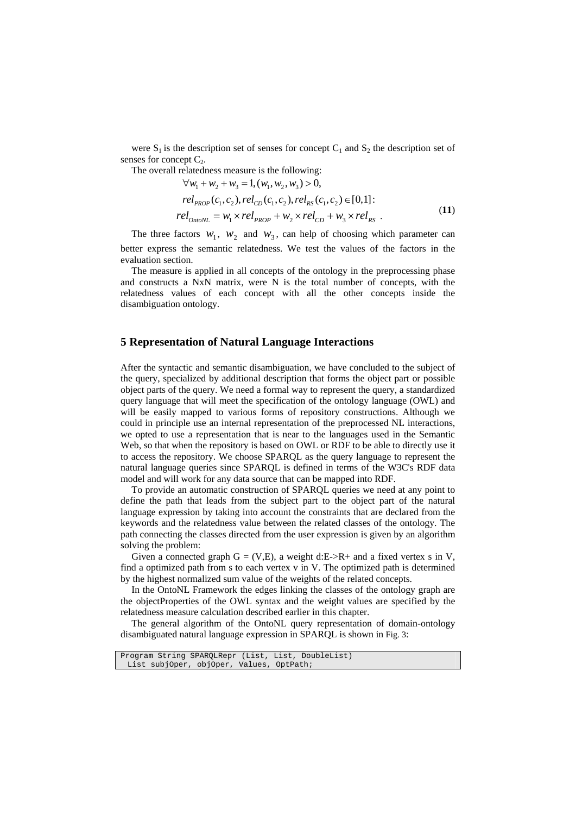were  $S_1$  is the description set of senses for concept  $C_1$  and  $S_2$  the description set of senses for concept  $C_2$ .

The overall relatedness measure is the following:

$$
\forall w_1 + w_2 + w_3 = 1, (w_1, w_2, w_3) > 0,
$$
  
\n
$$
rel_{PROP}(c_1, c_2), rel_{CD}(c_1, c_2), rel_{RS}(c_1, c_2) \in [0, 1]:
$$
  
\n
$$
rel_{OntoNL} = w_1 \times rel_{PROP} + w_2 \times rel_{CD} + w_3 \times rel_{RS}.
$$
\n(11)

The three factors  $w_1$ ,  $w_2$  and  $w_3$ , can help of choosing which parameter can better express the semantic relatedness. We test the values of the factors in the evaluation section.

The measure is applied in all concepts of the ontology in the preprocessing phase and constructs a NxN matrix, were N is the total number of concepts, with the relatedness values of each concept with all the other concepts inside the disambiguation ontology.

#### **5 Representation of Natural Language Interactions**

After the syntactic and semantic disambiguation, we have concluded to the subject of the query, specialized by additional description that forms the object part or possible object parts of the query. We need a formal way to represent the query, a standardized query language that will meet the specification of the ontology language (OWL) and will be easily mapped to various forms of repository constructions. Although we could in principle use an internal representation of the preprocessed NL interactions, we opted to use a representation that is near to the languages used in the Semantic Web, so that when the repository is based on OWL or RDF to be able to directly use it to access the repository. We choose SPARQL as the query language to represent the natural language queries since SPARQL is defined in terms of the W3C's RDF data model and will work for any data source that can be mapped into RDF.

To provide an automatic construction of SPARQL queries we need at any point to define the path that leads from the subject part to the object part of the natural language expression by taking into account the constraints that are declared from the keywords and the relatedness value between the related classes of the ontology. The path connecting the classes directed from the user expression is given by an algorithm solving the problem:

Given a connected graph  $G = (V,E)$ , a weight d:E->R+ and a fixed vertex s in V, find a optimized path from s to each vertex v in V. The optimized path is determined by the highest normalized sum value of the weights of the related concepts.

In the OntoNL Framework the edges linking the classes of the ontology graph are the objectProperties of the OWL syntax and the weight values are specified by the relatedness measure calculation described earlier in this chapter.

The general algorithm of the OntoNL query representation of domain-ontology disambiguated natural language expression in SPARQL is shown in [Fig. 3:](#page-11-0)

```
Program String SPARQLRepr (List, List, DoubleList) 
  List subjOper, objOper, Values, OptPath;
```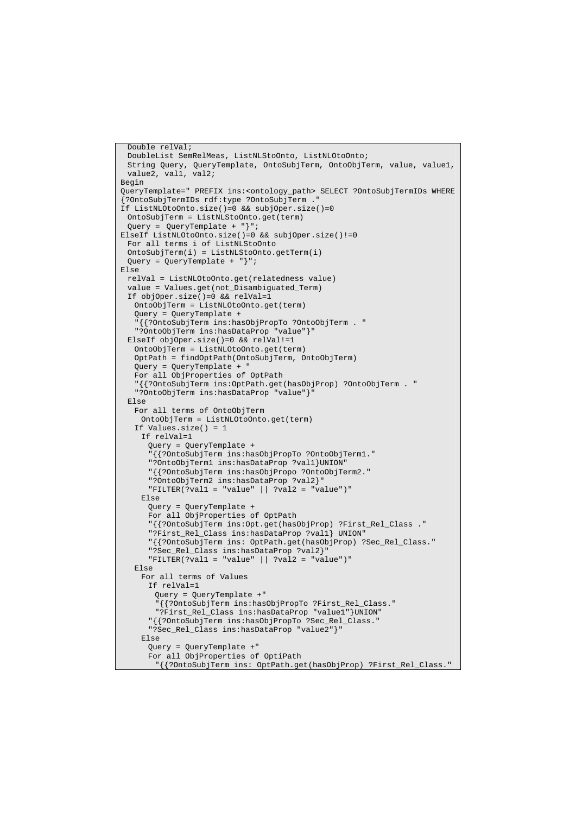```
 Double relVal; 
  DoubleList SemRelMeas, ListNLStoOnto, ListNLOtoOnto; 
 String Query, QueryTemplate, OntoSubjTerm, OntoObjTerm, value, value1, 
 value2, val1, val2; 
Begin 
QueryTemplate=" PREFIX ins:<ontology_path> SELECT ?OntoSubjTermIDs WHERE 
{?OntoSubjTermIDs rdf:type ?OntoSubjTerm ." 
If ListNLOtoOnto.size()=0 && subjOper.size()=0 
  OntoSubjTerm = ListNLStoOnto.get(term) 
  Query = QueryTemplate + "}"; 
ElseIf ListNLOtoOnto.size()=0 && subjOper.size()!=0 
  For all terms i of ListNLStoOnto 
  OntoSubjTerm(i) = ListNLStoOnto.getTerm(i) 
  Query = QueryTemplate + "}"; 
Else 
  relVal = ListNLOtoOnto.get(relatedness value) 
  value = Values.get(not_Disambiguated_Term) 
  If objOper.size()=0 && relVal=1 
    OntoObjTerm = ListNLOtoOnto.get(term) 
    Query = QueryTemplate + 
    "{{?OntoSubjTerm ins:hasObjPropTo ?OntoObjTerm . " 
    "?OntoObjTerm ins:hasDataProp "value"}" 
  ElseIf objOper.size()=0 && relVal!=1 
    OntoObjTerm = ListNLOtoOnto.get(term) 
    OptPath = findOptPath(OntoSubjTerm, OntoObjTerm) 
    Query = QueryTemplate + " 
    For all ObjProperties of OptPath 
    "{{?OntoSubjTerm ins:OptPath.get(hasObjProp) ?OntoObjTerm . " 
    "?OntoObjTerm ins:hasDataProp "value"}" 
  Else 
    For all terms of OntoObjTerm 
     OntoObjTerm = ListNLOtoOnto.get(term) 
    If Values.size() = 1 
     If relVal=1 
       Query = QueryTemplate + 
        "{{?OntoSubjTerm ins:hasObjPropTo ?OntoObjTerm1." 
       "?OntoObjTerm1 ins:hasDataProp ?val1}UNION" 
       "{{?OntoSubjTerm ins:hasObjPropo ?OntoObjTerm2." 
       "?OntoObjTerm2 ins:hasDataProp ?val2}" 
      "FILTER('val1 = "value" || ?val2 = "value")" Else 
       Query = QueryTemplate + 
      For all ObjProperties of OptPath
       "{{?OntoSubjTerm ins:Opt.get(hasObjProp) ?First_Rel_Class ." 
       "?First_Rel_Class ins:hasDataProp ?val1} UNION" 
       "{{?OntoSubjTerm ins: OptPath.get(hasObjProp) ?Sec_Rel_Class." 
       "?Sec_Rel_Class ins:hasDataProp ?val2}" 
      "FILTER('val1 = "value" || ?val2 = "value")" Else 
     For all terms of Values 
       If relVal=1 
        Query = QueryTemplate +" 
          "{{?OntoSubjTerm ins:hasObjPropTo ?First_Rel_Class." 
         "?First_Rel_Class ins:hasDataProp "value1"}UNION" 
       "{{?OntoSubjTerm ins:hasObjPropTo ?Sec_Rel_Class." 
       "?Sec_Rel_Class ins:hasDataProp "value2"}" 
     Else 
       Query = QueryTemplate +" 
       For all ObjProperties of OptiPath 
        "{{?OntoSubjTerm ins: OptPath.get(hasObjProp) ?First_Rel_Class."
```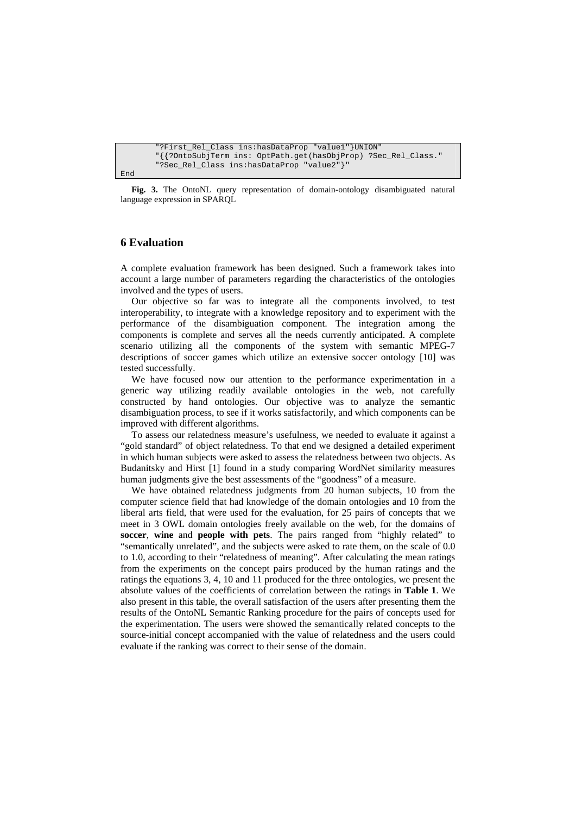```
 "?First_Rel_Class ins:hasDataProp "value1"}UNION" 
        "{{?OntoSubjTerm ins: OptPath.get(hasObjProp) ?Sec_Rel_Class." 
        "?Sec_Rel_Class ins:hasDataProp "value2"}" 
End
```
<span id="page-11-0"></span>**Fig. 3.** The OntoNL query representation of domain-ontology disambiguated natural language expression in SPARQL

# **6 Evaluation**

A complete evaluation framework has been designed. Such a framework takes into account a large number of parameters regarding the characteristics of the ontologies involved and the types of users.

Our objective so far was to integrate all the components involved, to test interoperability, to integrate with a knowledge repository and to experiment with the performance of the disambiguation component. The integration among the components is complete and serves all the needs currently anticipated. A complete scenario utilizing all the components of the system with semantic MPEG-7 descriptions of soccer games which utilize an extensive soccer ontology [\[10](#page-14-11)] was tested successfully.

We have focused now our attention to the performance experimentation in a generic way utilizing readily available ontologies in the web, not carefully constructed by hand ontologies. Our objective was to analyze the semantic disambiguation process, to see if it works satisfactorily, and which components can be improved with different algorithms.

To assess our relatedness measure's usefulness, we needed to evaluate it against a "gold standard" of object relatedness. To that end we designed a detailed experiment in which human subjects were asked to assess the relatedness between two objects. As Budanitsky and Hirst [\[1](#page-14-4)] found in a study comparing WordNet similarity measures human judgments give the best assessments of the "goodness" of a measure.

We have obtained relatedness judgments from 20 human subjects, 10 from the computer science field that had knowledge of the domain ontologies and 10 from the liberal arts field, that were used for the evaluation, for 25 pairs of concepts that we meet in 3 OWL domain ontologies freely available on the web, for the domains of **soccer**, **wine** and **people with pets**. The pairs ranged from "highly related" to "semantically unrelated", and the subjects were asked to rate them, on the scale of 0.0 to 1.0, according to their "relatedness of meaning". After calculating the mean ratings from the experiments on the concept pairs produced by the human ratings and the ratings the equations 3, 4, 10 and 11 produced for the three ontologies, we present the absolute values of the coefficients of correlation between the ratings in **[Table 1](#page-12-0)**. We also present in this table, the overall satisfaction of the users after presenting them the results of the OntoNL Semantic Ranking procedure for the pairs of concepts used for the experimentation. The users were showed the semantically related concepts to the source-initial concept accompanied with the value of relatedness and the users could evaluate if the ranking was correct to their sense of the domain.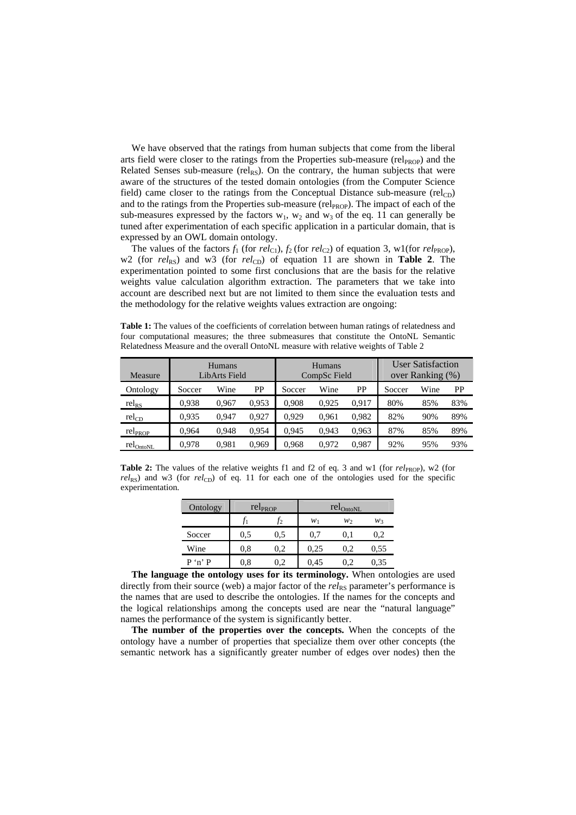We have observed that the ratings from human subjects that come from the liberal arts field were closer to the ratings from the Properties sub-measure ( $rel_{PROP}$ ) and the Related Senses sub-measure (rel $_{RS}$ ). On the contrary, the human subjects that were aware of the structures of the tested domain ontologies (from the Computer Science field) came closer to the ratings from the Conceptual Distance sub-measure (rel<sub>CD</sub>) and to the ratings from the Properties sub-measure (rel<sub>PROP</sub>). The impact of each of the sub-measures expressed by the factors  $w_1$ ,  $w_2$  and  $w_3$  of the eq. 11 can generally be tuned after experimentation of each specific application in a particular domain, that is expressed by an OWL domain ontology.

The values of the factors  $f_1$  (for  $rel_{C1}$ ),  $f_2$  (for  $rel_{C2}$ ) of equation 3, w1(for  $rel_{PROP}$ ), w2 (for  $rel_{RS}$ ) and w3 (for  $rel_{CD}$ ) of equation 11 are shown in **[Table 2](#page-12-1)**. The experimentation pointed to some first conclusions that are the basis for the relative weights value calculation algorithm extraction. The parameters that we take into account are described next but are not limited to them since the evaluation tests and the methodology for the relative weights values extraction are ongoing:

<span id="page-12-0"></span>**Table 1:** The values of the coefficients of correlation between human ratings of relatedness and four computational measures; the three submeasures that constitute the OntoNL Semantic Relatedness Measure and the overall OntoNL measure with relative weights of Table 2

| Measure               | <b>Humans</b><br>LibArts Field |       |       | Humans<br>CompSc Field |       |       | <b>User Satisfaction</b><br>over Ranking (%) |      |           |
|-----------------------|--------------------------------|-------|-------|------------------------|-------|-------|----------------------------------------------|------|-----------|
| Ontology              | Soccer                         | Wine  | PP    | Soccer                 | Wine  | PP    | Soccer                                       | Wine | <b>PP</b> |
| $rel_{RS}$            | 0.938                          | 0.967 | 0.953 | 0.908                  | 0.925 | 0.917 | 80%                                          | 85%  | 83%       |
| $rel_{CD}$            | 0.935                          | 0.947 | 0.927 | 0.929                  | 0.961 | 0.982 | 82%                                          | 90%  | 89%       |
| rel <sub>PROP</sub>   | 0.964                          | 0.948 | 0.954 | 0.945                  | 0.943 | 0.963 | 87%                                          | 85%  | 89%       |
| $rel_{\text{OntoNL}}$ | 0.978                          | 0.981 | 0.969 | 0.968                  | 0.972 | 0,987 | 92%                                          | 95%  | 93%       |

<span id="page-12-1"></span>**Table 2:** The values of the relative weights f1 and f2 of eq. 3 and w1 (for  $rel_{PROP}$ ), w2 (for  $rel_{RS}$ ) and w3 (for  $rel_{CD}$ ) of eq. 11 for each one of the ontologies used for the specific experimentation.

| Ontology  |     | rel <sub>PROP</sub> | rel <sub>OntoNL</sub> |     |      |
|-----------|-----|---------------------|-----------------------|-----|------|
|           |     | 12                  | $W_1$                 | w,  | w2   |
| Soccer    | 0.5 | 0.5                 |                       |     | 0.2  |
| Wine      | 0.8 | 0,2                 | 0.25                  | 0.2 | 0,55 |
| $P'_{n}P$ | 0.8 | 0.2                 | 0.45                  |     | 0.35 |

**The language the ontology uses for its terminology.** When ontologies are used directly from their source (web) a major factor of the *rel<sub>RS</sub>* parameter's performance is the names that are used to describe the ontologies. If the names for the concepts and the logical relationships among the concepts used are near the "natural language" names the performance of the system is significantly better.

**The number of the properties over the concepts.** When the concepts of the ontology have a number of properties that specialize them over other concepts (the semantic network has a significantly greater number of edges over nodes) then the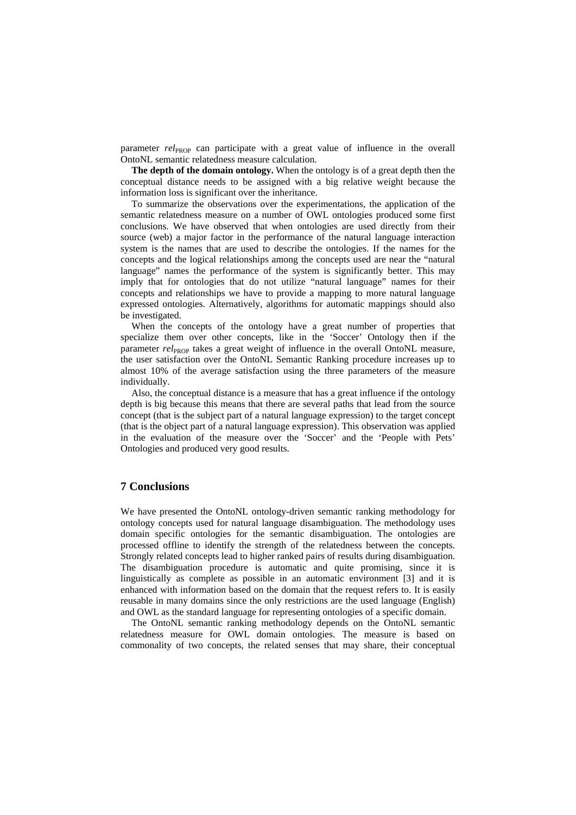parameter *rel*<sub>PROP</sub> can participate with a great value of influence in the overall OntoNL semantic relatedness measure calculation.

**The depth of the domain ontology.** When the ontology is of a great depth then the conceptual distance needs to be assigned with a big relative weight because the information loss is significant over the inheritance.

To summarize the observations over the experimentations, the application of the semantic relatedness measure on a number of OWL ontologies produced some first conclusions. We have observed that when ontologies are used directly from their source (web) a major factor in the performance of the natural language interaction system is the names that are used to describe the ontologies. If the names for the concepts and the logical relationships among the concepts used are near the "natural language" names the performance of the system is significantly better. This may imply that for ontologies that do not utilize "natural language" names for their concepts and relationships we have to provide a mapping to more natural language expressed ontologies. Alternatively, algorithms for automatic mappings should also be investigated.

When the concepts of the ontology have a great number of properties that specialize them over other concepts, like in the 'Soccer' Ontology then if the parameter *rel*<sub>PROP</sub> takes a great weight of influence in the overall OntoNL measure, the user satisfaction over the OntoNL Semantic Ranking procedure increases up to almost 10% of the average satisfaction using the three parameters of the measure individually.

Also, the conceptual distance is a measure that has a great influence if the ontology depth is big because this means that there are several paths that lead from the source concept (that is the subject part of a natural language expression) to the target concept (that is the object part of a natural language expression). This observation was applied in the evaluation of the measure over the 'Soccer' and the 'People with Pets' Ontologies and produced very good results.

#### **7 Conclusions**

We have presented the OntoNL ontology-driven semantic ranking methodology for ontology concepts used for natural language disambiguation. The methodology uses domain specific ontologies for the semantic disambiguation. The ontologies are processed offline to identify the strength of the relatedness between the concepts. Strongly related concepts lead to higher ranked pairs of results during disambiguation. The disambiguation procedure is automatic and quite promising, since it is linguistically as complete as possible in an automatic environment [\[3](#page-14-0)] and it is enhanced with information based on the domain that the request refers to. It is easily reusable in many domains since the only restrictions are the used language (English) and OWL as the standard language for representing ontologies of a specific domain.

The OntoNL semantic ranking methodology depends on the OntoNL semantic relatedness measure for OWL domain ontologies. The measure is based on commonality of two concepts, the related senses that may share, their conceptual